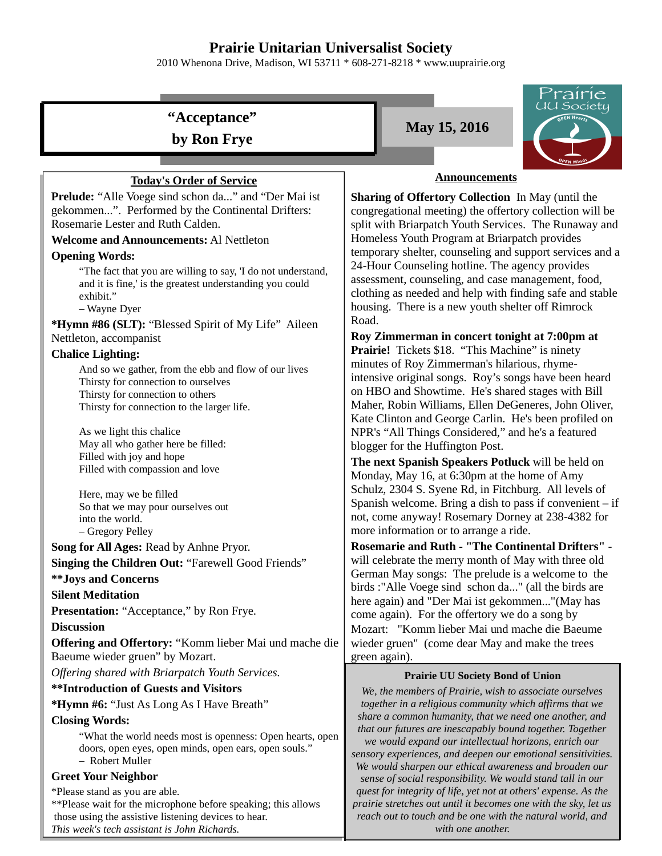# **Prairie Unitarian Universalist Society**

2010 Whenona Drive, Madison, WI 53711 \* 608-271-8218 \* www.uuprairie.org

# **"Acceptance"**

**by Ron Frye**

# **Today's Order of Service**

**Prelude:** "Alle Voege sind schon da..." and "Der Mai ist gekommen...". Performed by the Continental Drifters: Rosemarie Lester and Ruth Calden.

# **Welcome and Announcements:** Al Nettleton

# **Opening Words:**

"The fact that you are willing to say, 'I do not understand, and it is fine,' is the greatest understanding you could exhibit."

– Wayne Dyer

**\*Hymn #86 (SLT):** "Blessed Spirit of My Life" Aileen Nettleton, accompanist

# **Chalice Lighting:**

And so we gather, from the ebb and flow of our lives Thirsty for connection to ourselves Thirsty for connection to others Thirsty for connection to the larger life.

As we light this chalice May all who gather here be filled: Filled with joy and hope Filled with compassion and love

Here, may we be filled So that we may pour ourselves out into the world. – Gregory Pelley

**Song for All Ages:** Read by Anhne Pryor. **Singing the Children Out: "Farewell Good Friends"** 

# **\*\*Joys and Concerns**

#### **Silent Meditation**

Presentation: "Acceptance," by Ron Frye.

**Discussion**

**Offering and Offertory:** "Komm lieber Mai und mache die Baeume wieder gruen" by Mozart.

*Offering shared with Briarpatch Youth Services.*

#### **\*\*Introduction of Guests and Visitors**

**\*Hymn #6:** "Just As Long As I Have Breath"

# **Closing Words:**

"What the world needs most is openness: Open hearts, open doors, open eyes, open minds, open ears, open souls." – Robert Muller

# **Greet Your Neighbor**

\*Please stand as you are able.

\*\*Please wait for the microphone before speaking; this allows those using the assistive listening devices to hear. *This week's tech assistant is John Richards.*

**May 15, 2016**



# **Announcements**

**Sharing of Offertory Collection** In May (until the congregational meeting) the offertory collection will be split with Briarpatch Youth Services. The Runaway and Homeless Youth Program at Briarpatch provides temporary shelter, counseling and support services and a 24-Hour Counseling hotline. The agency provides assessment, counseling, and case management, food, clothing as needed and help with finding safe and stable housing. There is a new youth shelter off Rimrock Road.

**Roy Zimmerman in concert tonight at 7:00pm at Prairie!** Tickets \$18. "This Machine" is ninety minutes of Roy Zimmerman's hilarious, rhymeintensive original songs. Roy's songs have been heard on HBO and Showtime. He's shared stages with Bill Maher, Robin Williams, Ellen DeGeneres, John Oliver, Kate Clinton and George Carlin. He's been profiled on NPR's "All Things Considered," and he's a featured blogger for the Huffington Post.

**The next Spanish Speakers Potluck** will be held on Monday, May 16, at 6:30pm at the home of Amy Schulz, 2304 S. Syene Rd, in Fitchburg. All levels of Spanish welcome. Bring a dish to pass if convenient  $-$  if not, come anyway! Rosemary Dorney at 238-4382 for more information or to arrange a ride.

**Rosemarie and Ruth - "The Continental Drifters"** will celebrate the merry month of May with three old German May songs: The prelude is a welcome to the birds :"Alle Voege sind schon da..." (all the birds are here again) and "Der Mai ist gekommen..."(May has come again). For the offertory we do a song by Mozart: "Komm lieber Mai und mache die Baeume wieder gruen" (come dear May and make the trees green again).

#### **Prairie UU Society Bond of Union**

*We, the members of Prairie, wish to associate ourselves together in a religious community which affirms that we share a common humanity, that we need one another, and that our futures are inescapably bound together. Together we would expand our intellectual horizons, enrich our sensory experiences, and deepen our emotional sensitivities. We would sharpen our ethical awareness and broaden our sense of social responsibility. We would stand tall in our quest for integrity of life, yet not at others' expense. As the prairie stretches out until it becomes one with the sky, let us reach out to touch and be one with the natural world, and with one another.*